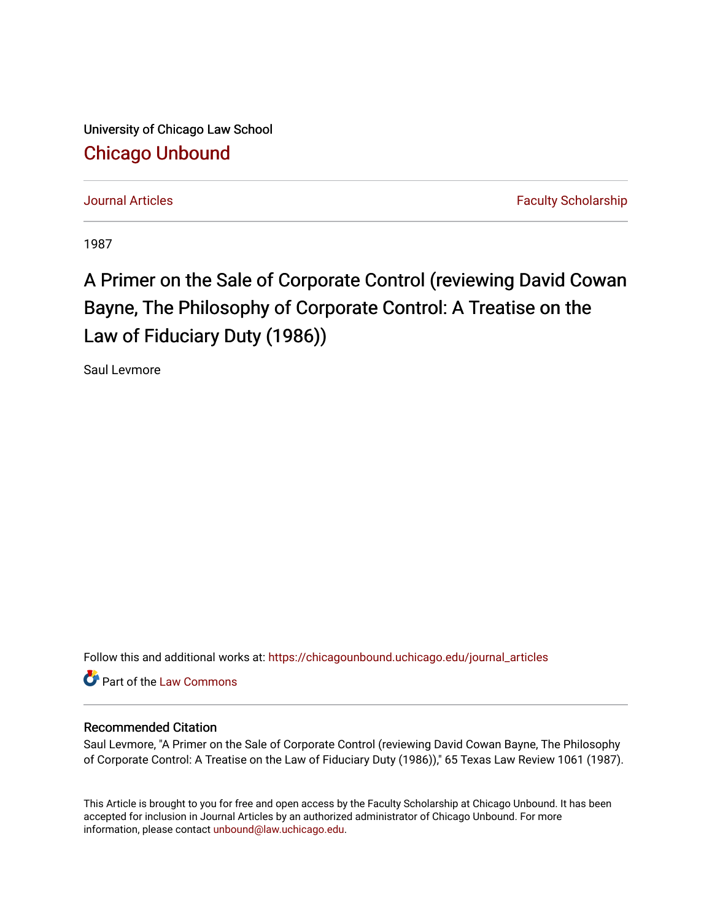University of Chicago Law School [Chicago Unbound](https://chicagounbound.uchicago.edu/)

[Journal Articles](https://chicagounbound.uchicago.edu/journal_articles) **Faculty Scholarship Journal Articles** 

1987

## A Primer on the Sale of Corporate Control (reviewing David Cowan Bayne, The Philosophy of Corporate Control: A Treatise on the Law of Fiduciary Duty (1986))

Saul Levmore

Follow this and additional works at: [https://chicagounbound.uchicago.edu/journal\\_articles](https://chicagounbound.uchicago.edu/journal_articles?utm_source=chicagounbound.uchicago.edu%2Fjournal_articles%2F2633&utm_medium=PDF&utm_campaign=PDFCoverPages) 

Part of the [Law Commons](http://network.bepress.com/hgg/discipline/578?utm_source=chicagounbound.uchicago.edu%2Fjournal_articles%2F2633&utm_medium=PDF&utm_campaign=PDFCoverPages)

## Recommended Citation

Saul Levmore, "A Primer on the Sale of Corporate Control (reviewing David Cowan Bayne, The Philosophy of Corporate Control: A Treatise on the Law of Fiduciary Duty (1986))," 65 Texas Law Review 1061 (1987).

This Article is brought to you for free and open access by the Faculty Scholarship at Chicago Unbound. It has been accepted for inclusion in Journal Articles by an authorized administrator of Chicago Unbound. For more information, please contact [unbound@law.uchicago.edu](mailto:unbound@law.uchicago.edu).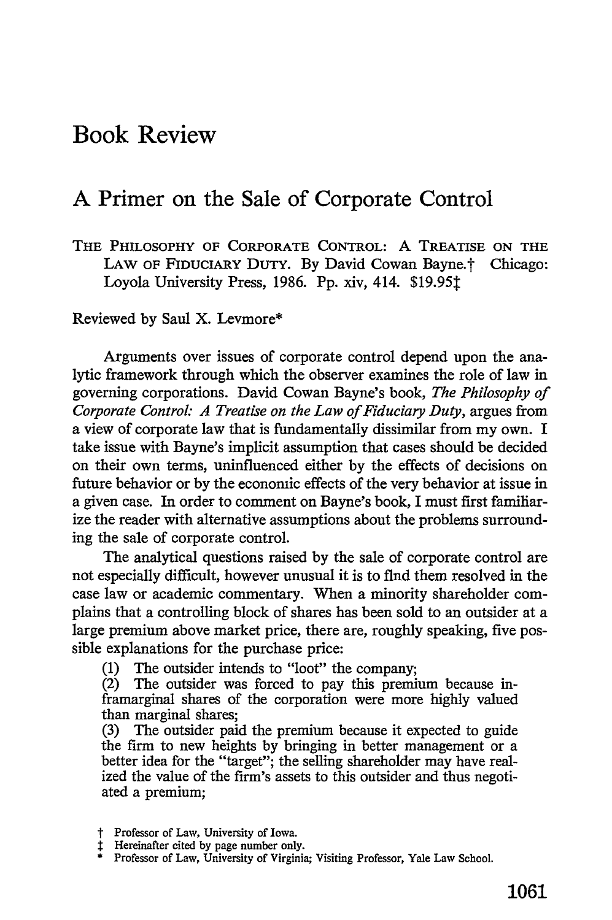## Book Review

## **A** Primer on the Sale of Corporate Control

**THE PHILOSOPHY** OF CORPORATE CONTROL: A TREATISE **ON THE** LAW OF FIDUCIARY DUTY. By David Cowan Bayne.<sup>†</sup> Chicago: Loyola University Press, **1986. Pp.** xiv, 414. **\$19.951**

Reviewed by Saul X. Levmore\*

Arguments over issues of corporate control depend upon the analytic framework through which the observer examines the role of law in governing corporations. David Cowan Bayne's book, *The Philosophy of Corporate Control: A Treatise on the Law of Fiduciary Duty,* argues from a view of corporate law that is fundamentally dissimilar from my own. I take issue with Bayne's implicit assumption that cases should be decided on their own terms, uninfluenced either by the effects of decisions on future behavior or by the economic effects of the very behavior at issue in a given case. In order to comment on Bayne's book, I must first familiarize the reader with alternative assumptions about the problems surrounding the sale of corporate control.

The analytical questions raised by the sale of corporate control are not especially difficult, however unusual it is to find them resolved in the case law or academic commentary. When a minority shareholder complains that a controlling block of shares has been sold to an outsider at a large premium above market price, there are, roughly speaking, five possible explanations for the purchase price:

(1) The outsider intends to "loot" the company;

(2) The outsider was forced to pay this premium because inframarginal shares of the corporation were more highly valued than marginal shares;

(3) The outsider paid the premium because it expected to guide the firm to new heights by bringing in better management or a better idea for the "target"; the selling shareholder may have realized the value of the firm's assets to this outsider and thus negotiated a premium;

- 
- 

t Professor of Law, University of Iowa.<br>1 Hereinafter cited by page number only.<br>\* Professor of Law, University of Virginia; Visiting Professor, Yale Law School.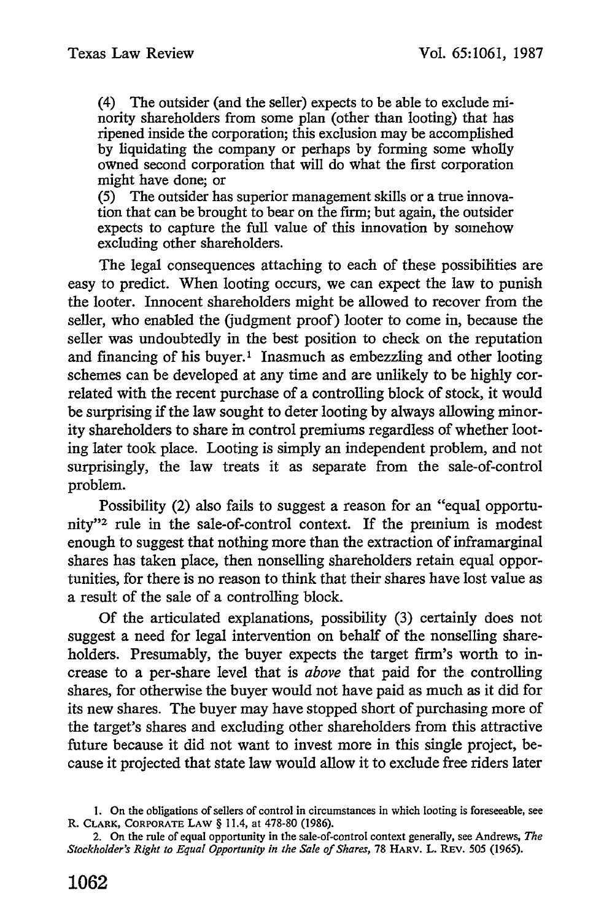(4) The outsider (and the seller) expects to be able to exclude minority shareholders from some plan (other than looting) that has ripened inside the corporation; this exclusion may be accomplished by liquidating the company or perhaps by forming some wholly owned second corporation that will do what the first corporation might have done; or

(5) The outsider has superior management skills or a true innovation that can be brought to bear on the firm; but again, the outsider expects to capture the full value of this innovation by somehow excluding other shareholders.

The legal consequences attaching to each of these possibilities are easy to predict. When looting occurs, we can expect the law to punish the looter. Innocent shareholders might be allowed to recover from the seller, who enabled the (judgment proof) looter to come in, because the seller was undoubtedly in the best position to check on the reputation and financing of his buyer.<sup>1</sup> Inasmuch as embezzling and other looting schemes can be developed at any time and are unlikely to be highly correlated with the recent purchase of a controlling block of stock, it would be surprising if the law sought to deter looting by always allowing minority shareholders to share in control premiums regardless of whether looting later took place. Looting is simply an independent problem, and not surprisingly, the law treats it as separate from the sale-of-control problem.

Possibility (2) also fails to suggest a reason for an "equal opportunity"<sup>2</sup> rule in the sale-of-control context. If the premium is modest enough to suggest that nothing more than the extraction of inframarginal shares has taken place, then nonselling shareholders retain equal opportunities, for there is no reason to think that their shares have lost value as a result of the sale of a controlling block.

Of the articulated explanations, possibility (3) certainly does not suggest a need for legal intervention on behalf of the nonselling shareholders. Presumably, the buyer expects the target firm's worth to increase to a per-share level that is *above* that paid for the controlling shares, for otherwise the buyer would not have paid as much as it did for its new shares. The buyer may have stopped short of purchasing more of the target's shares and excluding other shareholders from this attractive future because it did not want to invest more in this single project, because it projected that state law would allow it to exclude free riders later

<sup>1.</sup> On the obligations of sellers of control in circumstances in which looting is foreseeable, see R. CLARK, CORPORATE LAW § 11.4, at 478-80 (1986).

<sup>2.</sup> On the rule of equal opportunity in the sale-of-control context generally, see Andrews, *The Stockholder's Right to Equal Opportunity in the Sale of Shares,* 78 HARV. L. REV. 505 (1965).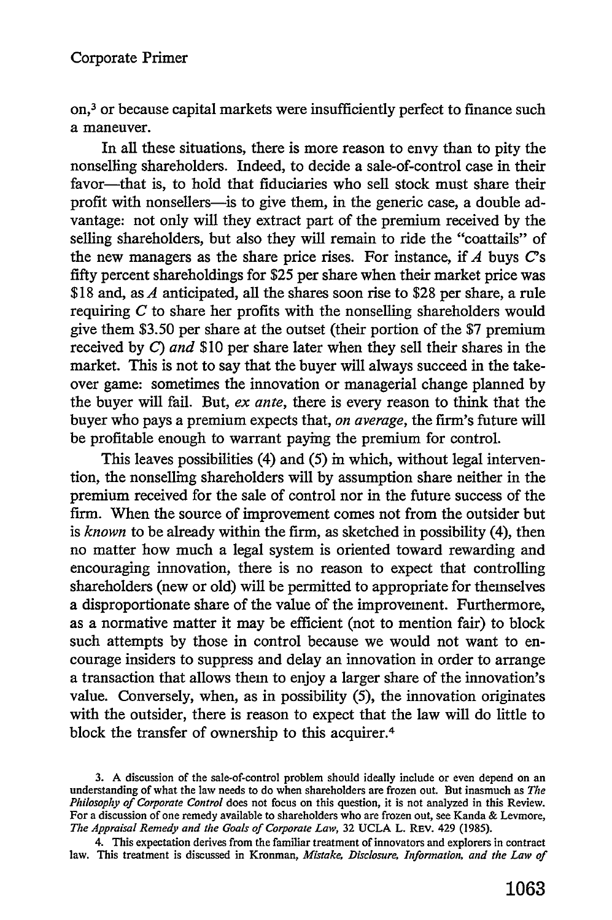on,3 or because capital markets were insufficiently perfect to finance such a maneuver.

In all these situations, there is more reason to envy than to pity the nonselling shareholders. Indeed, to decide a sale-of-control case in their favor-that is, to hold that fiduciaries who sell stock must share their profit with nonsellers-is to give them, in the generic case, a double advantage: not only will they extract part of the premium received by the selling shareholders, but also they will remain to ride the "coattails" of the new managers as the share price rises. For instance, if *A* buys C's fifty percent shareholdings for \$25 per share when their market price was \$18 and, as *A* anticipated, all the shares soon rise to \$28 per share, a rule requiring *C* to share her profits with the nonselling shareholders would give them \$3.50 per share at the outset (their portion of the \$7 premium received by *C) and* \$10 per share later when they sell their shares in the market. This is not to say that the buyer will always succeed in the takeover game: sometimes the innovation or managerial change planned by the buyer will fail. But, *ex ante,* there is every reason to think that the buyer who pays a premium expects that, *on average,* the firm's future will be profitable enough to warrant paying the premium for control.

This leaves possibilities (4) and (5) in which, without legal intervention, the nonselling shareholders will by assumption share neither in the premium received for the sale of control nor in the future success of the firm. When the source of improvement comes not from the outsider but is *known* to be already within the **firm,** as sketched in possibility (4), then no matter how much a legal system is oriented toward rewarding and encouraging innovation, there is no reason to expect that controlling shareholders (new or old) will be permitted to appropriate for themselves a disproportionate share of the value of the improvement. Furthermore, as a normative matter it may be efficient (not to mention fair) to block such attempts by those in control because we would not want to encourage insiders to suppress and delay an innovation in order to arrange a transaction that allows them to enjoy a larger share of the innovation's value. Conversely, when, as in possibility (5), the innovation originates with the outsider, there is reason to expect that the law will do little to block the transfer of ownership to this acquirer. <sup>4</sup>

<sup>3.</sup> A discussion of the sale-of-control problem should ideally include or even depend on an understanding of what the law needs to do when shareholders are frozen out. But inasmuch as *The Philosophy of Corporate Control* does not focus on this question, it is not analyzed in this Review. For a discussion of one remedy available to shareholders who are frozen out, see Kanda & Levmore, *The Appraisal Remedy and the Goals of Corporate Law,* 32 UCLA L. REv. 429 (1985).

<sup>4.</sup> This expectation derives from the familiar treatment of innovators and explorers in contract law. This treatment is discussed in Kronman, *Mistake, Disclosure, Information, and the Law of*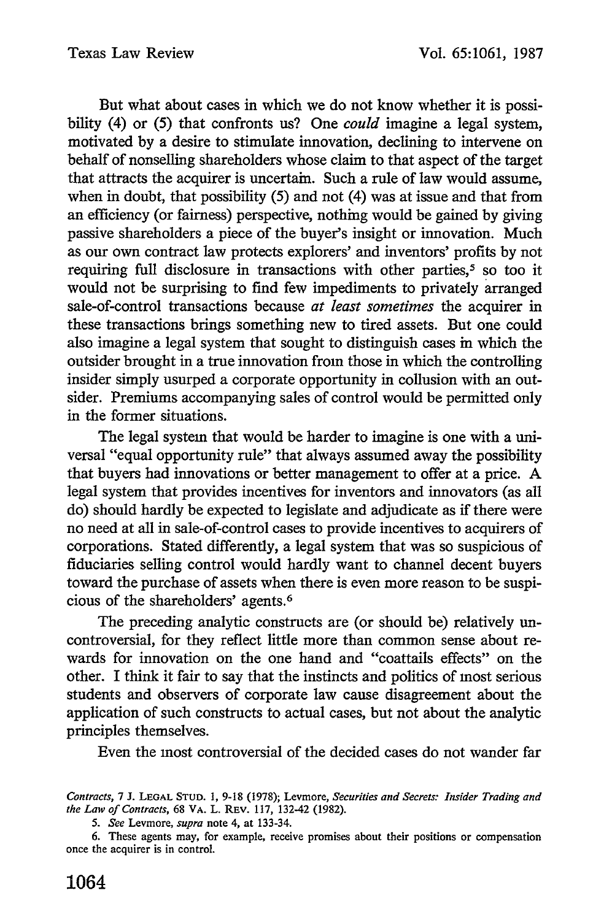But what about cases in which we do not know whether it is possibility (4) or (5) that confronts us? One *could* imagine a legal system, motivated by a desire to stimulate innovation, declining to intervene on behalf of nonselling shareholders whose claim to that aspect of the target that attracts the acquirer is uncertain. Such a rule of law would assume, when in doubt, that possibility (5) and not (4) was at issue and that from an efficiency (or fairness) perspective, nothing would be gained by giving passive shareholders a piece of the buyer's insight or innovation. Much as our own contract law protects explorers' and inventors' profits by not requiring full disclosure in transactions with other parties,<sup>5</sup> so too it would not be surprising to find few impediments to privately arranged sale-of-control transactions because *at least sometimes* the acquirer in these transactions brings something new to tired assets. But one could also imagine a legal system that sought to distinguish cases in which the outsider brought in a true innovation from those in which the controlling insider simply usurped a corporate opportunity in collusion with an outsider. Premiums accompanying sales of control would be permitted only in the former situations.

The legal system that would be harder to imagine is one with a universal "equal opportunity rule" that always assumed away the possibility that buyers had innovations or better management to offer at a price. A legal system that provides incentives for inventors and innovators (as all do) should hardly be expected to legislate and adjudicate as if there were no need at all in sale-of-control cases to provide incentives to acquirers of corporations. Stated differently, a legal system that was so suspicious of fiduciaries selling control would hardly want to channel decent buyers toward the purchase of assets when there is even more reason to be suspicious of the shareholders' agents. <sup>6</sup>

The preceding analytic constructs are (or should be) relatively uncontroversial, for they reflect little more than common sense about rewards for innovation on the one hand and "coattails effects" on the other. I think it fair to say that the instincts and politics of most serious students and observers of corporate law cause disagreement about the application of such constructs to actual cases, but not about the analytic principles themselves.

Even the most controversial of the decided cases do not wander far

*Contracts,* 7 J. **LEGAL STUD. 1,** 9-18 (1978); Levmore, *Securities and Secrets: Insider Trading and the Law of Contracts,* 68 VA. L. REV. 117, 132-42 (1982).

*<sup>5.</sup> See* Levmore, *supra* note 4, at 133-34.

<sup>6.</sup> These agents may, for example, receive promises about their positions or compensation once the acquirer is in control.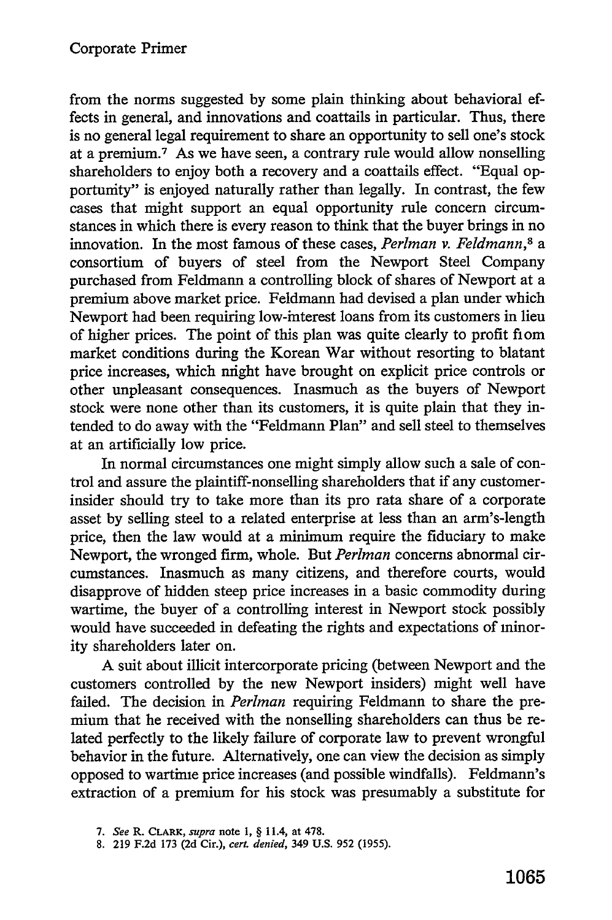from the norms suggested by some plain thinking about behavioral effects in general, and innovations and coattails in particular. Thus, there is no general legal requirement to share an opportunity to sell one's stock at a premium.<sup>7</sup> As we have seen, a contrary rule would allow nonselling shareholders to enjoy both a recovery and a coattails effect. "Equal opportunity" is enjoyed naturally rather than legally. In contrast, the few cases that might support an equal opportunity rule concern circumstances in which there is every reason to think that the buyer brings in no innovation. In the most famous of these cases, *Perlman v. Feldmann,8* a consortium of buyers of steel from the Newport Steel Company purchased from Feldmann a controlling block of shares of Newport at a premium above market price. Feldmann had devised a plan under which Newport had been requiring low-interest loans from its customers in lieu of higher prices. The point of this plan was quite clearly to profit fiom market conditions during the Korean War without resorting to blatant price increases, which might have brought on explicit price controls or other unpleasant consequences. Inasmuch as the buyers of Newport stock were none other than its customers, it is quite plain that they intended to do away with the "Feldmann Plan" and sell steel to themselves at an artificially low price.

In normal circumstances one might simply allow such a sale of control and assure the plaintiff-nonselling shareholders that if any customerinsider should try to take more than its pro rata share of a corporate asset by selling steel to a related enterprise at less than an arm's-length price, then the law would at a minimum require the fiduciary to make Newport, the wronged firm, whole. But *Perlman* concerns abnormal circumstances. Inasmuch as many citizens, and therefore courts, would disapprove of hidden steep price increases in a basic commodity during wartime, the buyer of a controlling interest in Newport stock possibly would have succeeded in defeating the rights and expectations of minority shareholders later on.

A suit about illicit intercorporate pricing (between Newport and the customers controlled by the new Newport insiders) might well have failed. The decision in *Perlman* requiring Feldmann to share the premium that he received with the nonselling shareholders can thus be related perfectly to the likely failure of corporate law to prevent wrongful behavior in the future. Alternatively, one can view the decision as simply opposed to wartime price increases (and possible windfalls). Feldmann's extraction of a premium for his stock was presumably a substitute for

*<sup>7.</sup> See* **R. CLARK,** *supra* note **1,** § **11.4, at 478.**

**<sup>8. 219</sup> F.2d 173 (2d Cir.),** *cert denied,* 349 **U.S. 952 (1955).**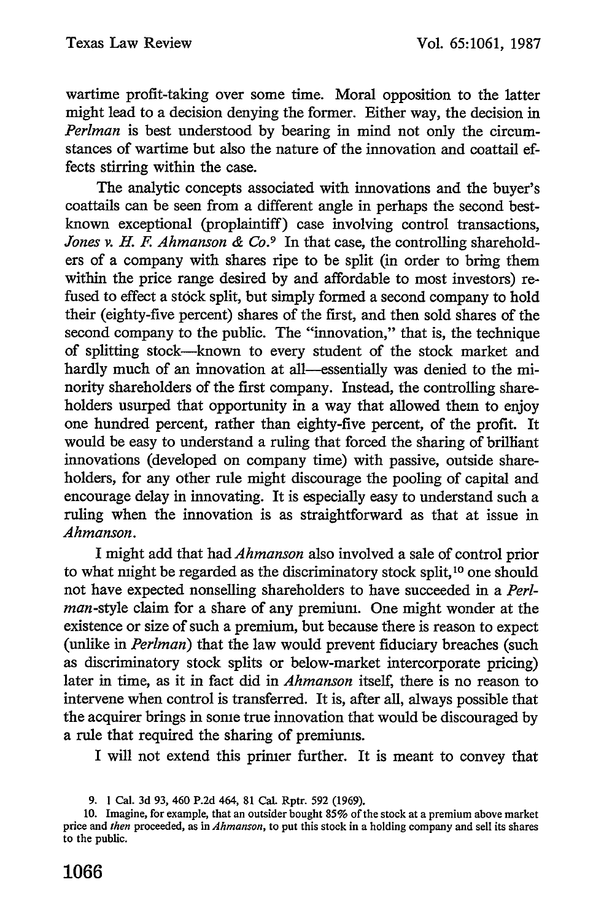wartime profit-taking over some time. Moral opposition to the latter might lead to a decision denying the former. Either way, the decision in *Perlman* is best understood by bearing in mind not only the circumstances of wartime but also the nature of the innovation and coattail effects stirring within the case.

The analytic concepts associated with innovations and the buyer's coattails can be seen from a different angle in perhaps the second bestknown exceptional (proplaintiff) case involving control transactions, *Jones v. H. F. Ahmanson & Co.*<sup>9</sup> In that case, the controlling shareholders of a company with shares ripe to be split (in order to bring them within the price range desired by and affordable to most investors) refused to effect a stock split, but simply formed a second company to hold their (eighty-five percent) shares of the first, and then sold shares of the second company to the public. The "innovation," that is, the technique of splitting stock-known to every student of the stock market and hardly much of an innovation at all—essentially was denied to the minority shareholders of the first company. Instead, the controlling shareholders usurped that opportunity in a way that allowed them to enjoy one hundred percent, rather than eighty-five percent, of the profit. It would be easy to understand a ruling that forced the sharing of brilliant innovations (developed on company time) with passive, outside shareholders, for any other rule might discourage the pooling of capital and encourage delay in innovating. It is especially easy to understand such a ruling when the innovation is as straightforward as that at issue in *Ahmanson.*

I might add that had *Ahmanson* also involved a sale of control prior to what might be regarded as the discriminatory stock split,<sup>10</sup> one should not have expected nonselling shareholders to have succeeded in a *Perl*man-style claim for a share of any premium. One might wonder at the existence or size of such a premium, but because there is reason to expect (unlike in *Perlman)* that the law would prevent fiduciary breaches (such as discriminatory stock splits or below-market intercorporate pricing) later in time, as it in fact did in *Ahmanson* itself, there is no reason to intervene when control is transferred. It is, after all, always possible that the acquirer brings in some true innovation that would be discouraged by a rule that required the sharing of premiums.

I will not extend this primer further. It is meant to convey that

<sup>9. 1</sup> Cal. 3d 93, 460 P.2d 464, **81** Cal. Rptr. 592 (1969).

<sup>10.</sup> Imagine, for example, that an outsider bought 85% of the stock at a premium above market price and *then* proceeded, as in *Ahmanson,* to put this stock in a holding company and sell its shares to the public.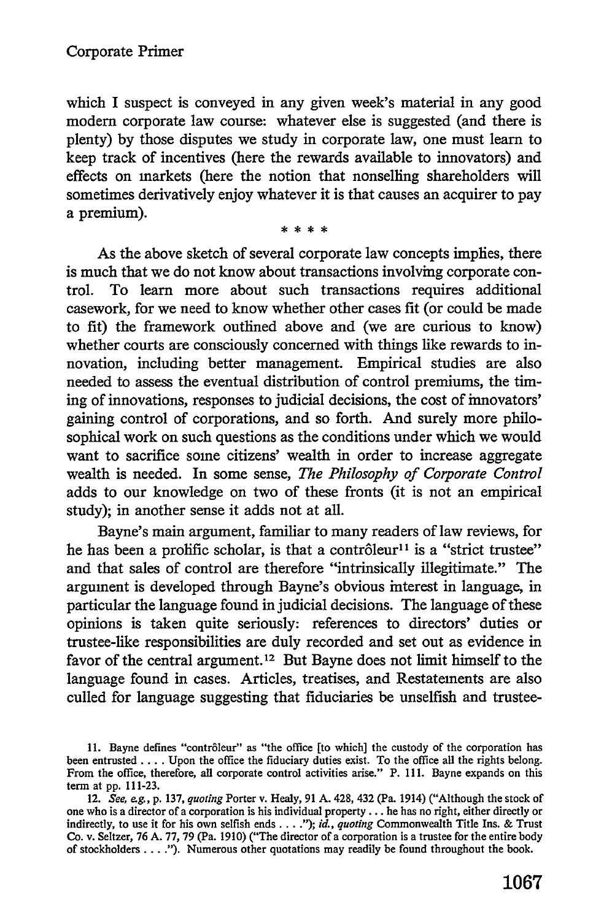which I suspect is conveyed in any given week's material in any good modem corporate law course: whatever else is suggested (and there is plenty) by those disputes we study in corporate law, one must learn to keep track of incentives (here the rewards available to innovators) and effects on markets (here the notion that nonselling shareholders will sometimes derivatively enjoy whatever it is that causes an acquirer to pay a premium).

\* \* \* \*

As the above sketch of several corporate law concepts implies, there is much that we do not know about transactions involving corporate control. To learn more about such transactions requires additional casework, for we need to know whether other cases fit (or could be made to fit) the framework outlined above and (we are curious to know) whether courts are consciously concerned with things like rewards to innovation, including better management. Empirical studies are also needed to assess the eventual distribution of control premiums, the timing of innovations, responses to judicial decisions, the cost of innovators' gaining control of corporations, and so forth. And surely more philosophical work on such questions as the conditions under which we would want to sacrifice some citizens' wealth in order to increase aggregate wealth is needed. In some sense, *The Philosophy of Corporate Control* adds to our knowledge on two of these fronts (it is not an empirical study); in another sense it adds not at all.

Bayne's main argument, familiar to many readers of law reviews, for he has been a prolific scholar, is that a contrôleur<sup>11</sup> is a "strict trustee" and that sales of control are therefore "intrinsically illegitimate." The argument is developed through Bayne's obvious interest in language, in particular the language found in judicial decisions. The language of these opinions is taken quite seriously: references to directors' duties or trustee-like responsibilities are duly recorded and set out as evidence in favor of the central argument. **12** But Bayne does not limit himself to the language found in cases. Articles, treatises, and Restatements are also culled for language suggesting that fiduciaries be unselfish and trustee-

**<sup>11.</sup> Bayne defines** "contrbleur" as "the office [to which] **the** custody **of the** corporation has been entrusted **....** Upon the office the fiduciary duties exist. To the office all the rights belong. From the office, therefore, all corporate control activities arise." P. **111.** Bayne expands on this term at **pp. 111-23.**

<sup>12.</sup> *See, eg.,* **p. 137,** *quoting* Porter v. Healy, **91 A.** 428, 432 (Pa. 1914) ("Although the stock **of** one who is a director **of** a corporation is his individual property... he has no right, either directly or indirectly, to use it for his own selfish ends **.... );** *id., quoting* Commonwealth Title Ins. **&** Trust Co. v. Seltzer, **76 A. 77, 79** (Pa. **1910)** ("The director of a corporation is a trustee for the entire body of stockholders **.... ").** Numerous other quotations may readily be found throughout the book.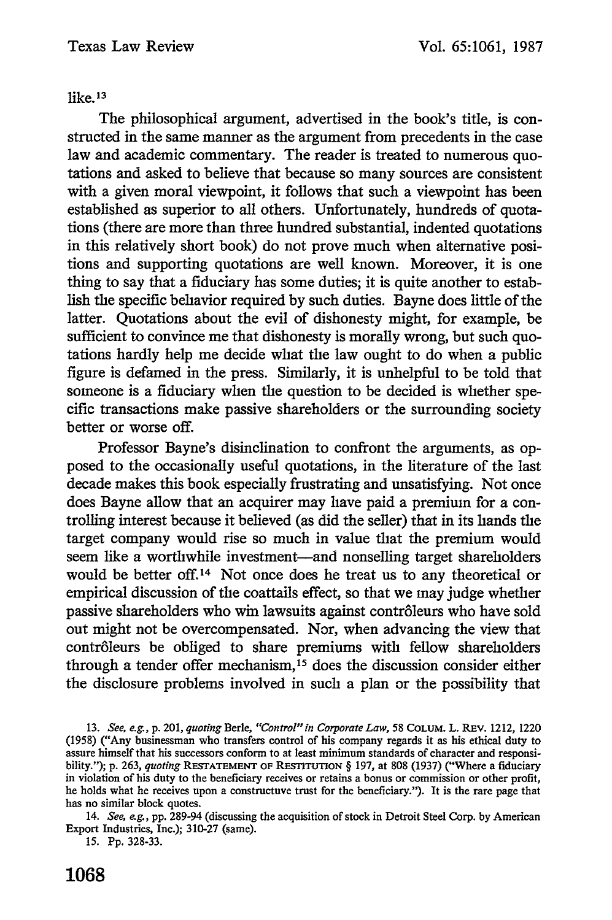like.<sup>13</sup>

The philosophical argument, advertised in the book's title, is constructed in the same manner as the argument from precedents in the case law and academic commentary. The reader is treated to numerous quotations and asked to believe that because so many sources are consistent with a given moral viewpoint, it follows that such a viewpoint has been established as superior to all others. Unfortunately, hundreds of quotations (there are more than three hundred substantial, indented quotations in this relatively short book) do not prove much when alternative positions and supporting quotations are well known. Moreover, it is one thing to say that a fiduciary has some duties; it is quite another to establish the specific behavior required by such duties. Bayne does little of the latter. Quotations about the evil of dishonesty might, for example, be sufficient to convince me that dishonesty is morally wrong, but such quotations hardly help me decide what the law ought to do when a public figure is defamed in the press. Similarly, it is unhelpful to be told that someone is a fiduciary when the question to be decided is whether specific transactions make passive shareholders or the surrounding society better or worse off.

Professor Bayne's disinclination to confront the arguments, as opposed to the occasionally useful quotations, in the literature of the last decade makes this book especially frustrating and unsatisfying. Not once does Bayne allow that an acquirer may have paid a premium for a controlling interest because it believed (as did the seller) that in its hands the target company would rise so much in value that the premium would seem like a worthwhile investment-and nonselling target shareholders would be better off.14 Not once does he treat us to any theoretical or empirical discussion of the coattails effect, so that we may judge whether passive shareholders who win lawsuits against contrôleurs who have sold out might not be overcompensated. Nor, when advancing the view that contrôleurs be obliged to share premiums with fellow shareholders through a tender offer mechanism, 15 does the discussion consider either the disclosure problems involved in such a plan or the possibility that

13. *See, e.g., p. 201, quoting Berle, "Control" in Corporate Law, 58 COLUM. L. REV. 1212, 1220* (1958) ("Any businessman who transfers control of his company regards it as his ethical duty to assure himself that his successors conform to at least minimum standards of character and responsibility."); p. 263, *quoting* RESTATEMENT OF RESTITUTION § 197, at 808 (1937) ("Where a fiduciary in violation of his duty to the beneficiary receives or retains a bonus or commission or other profit, he holds what he receives upon a constructuve trust for the beneficiary."). It is the rare page that has no similar block quotes.

14. *See, eg.,* pp. 289-94 (discussing the acquisition of stock in Detroit Steel Corp. by American Export Industries, Inc.); 310-27 (same).

15. Pp. 328-33.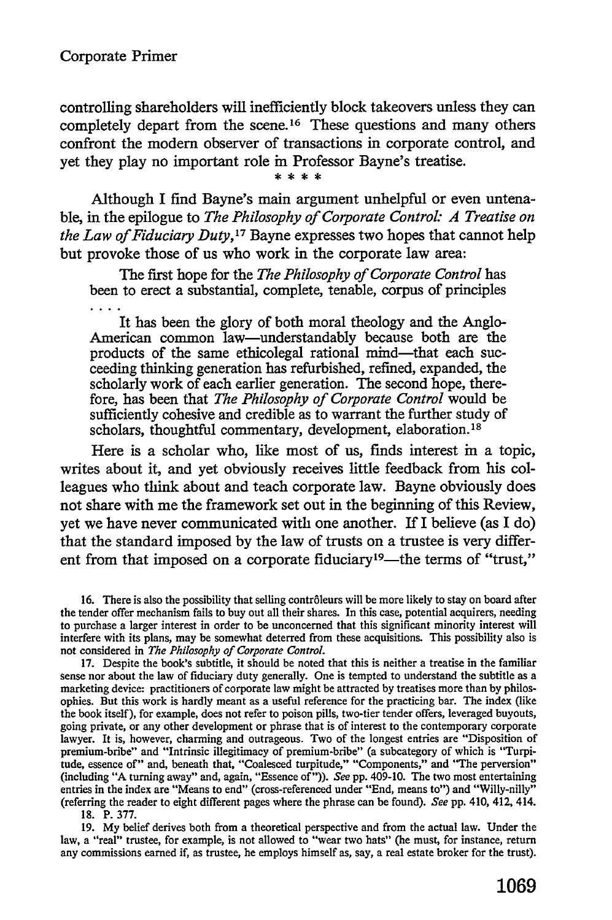controlling shareholders will inefficiently block takeovers unless they can completely depart from the scene.<sup>16</sup> These questions and many others confront the modem observer of transactions in corporate control, and yet they play no important role in Professor Bayne's treatise.

Although I find Bayne's main argument unhelpful or even untenable, in the epilogue to *The Philosophy of Corporate Control: A Treatise on the Law of Fiduciary Duty,17* Bayne expresses two hopes that cannot help but provoke those of us who work in the corporate law area:

The first hope for the *The Philosophy of Corporate Control has* been to erect a substantial, complete, tenable, corpus of principles

It has been the glory of both moral theology and the Anglo-American common law-understandably because both are the products of the same ethicolegal rational mind-that each succeeding thinking generation has refurbished, refined, expanded, the scholarly work of each earlier generation. The second hope, therefore, has been that *The Philosophy of Corporate Control* would be sufficiently cohesive and credible as to warrant the further study of scholars, thoughtful commentary, development, elaboration.<sup>18</sup>

Here is a scholar who, like most of us, finds interest in a topic, writes about it, and yet obviously receives little feedback from his colleagues who think about and teach corporate law. Bayne obviously does not share with me the framework set out in the beginning of this Review, yet we have never communicated with one another. If I believe (as I do) that the standard imposed **by** the law of trusts on a trustee is very different from that imposed on a corporate fiduciary<sup>19</sup>—the terms of "trust,"

16. There is also the possibility that selling contrôleurs will be more likely to stay on board after the tender offer mechanism fails to buy out all their shares. In this case, potential acquirers, needing to purchase a larger interest in order to be unconcerned that this significant minority interest will interfere with its plans, may be somewhat deterred from these acquisitions. This possibility also is not considered in *The Philosophy of Corporate Control.*

**17.** Despite the book's subtitle, it should be noted that this is neither a treatise in the familiar sense nor about the law of fiduciary duty generally. One is tempted to understand the subtitle as a marketing device: practitioners of corporate law might be attracted **by** treatises more than **by** philosophies. But this work is hardly meant as a useful reference for the practicing bar. The index (like the book itself), for example, does not refer to poison pills, two-tier tender offers, leveraged buyouts, going private, or any other development or phrase that is of interest to the contemporary corporate lawyer. It is, however, charming and outrageous. Two of the longest entries are "Disposition of premium-bribe" and "Intrinsic illegitimacy of premium-bribe" (a subcategory of which is "Turpitude, essence of" and, beneath that, "Coalesced turpitude," "Components," and "The perversion" (including **"A** turning away" and, again, "Essence of")). *See* **pp.** 409-10. The two most entertaining entries in the index are "Means to end" (cross-referenced under "End, means to") and "Willy-nilly" (referring the reader to eight different pages where the phrase **can** be found). *See* **pp.** 410, 412, 414.

**18.** P. **377.**

**19. My** belief derives both from a theoretical perspective and from the actual law. Under the law, a "real" trustee, for example, is not allowed to "wear two hats" (he must, for instance, return any commissions earned if, as trustee, he employs himself as, say, a real estate broker for the trust).